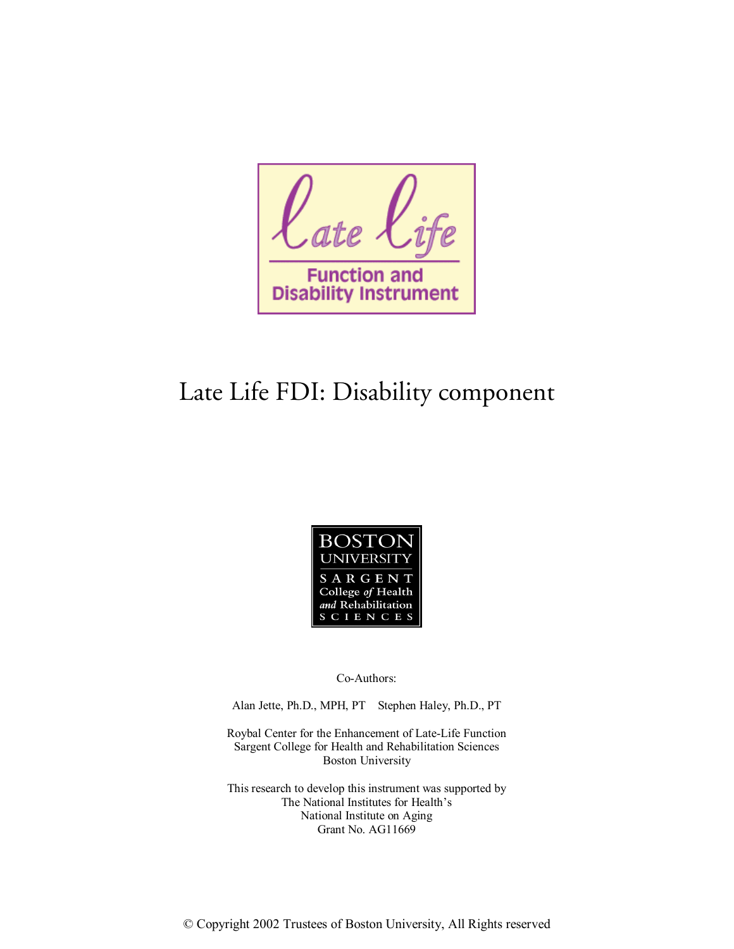

## Late Life FDI: Disability component



Co-Authors:

Alan Jette, Ph.D., MPH, PT Stephen Haley, Ph.D., PT

Roybal Center for the Enhancement of Late-Life Function Sargent College for Health and Rehabilitation Sciences Boston University

This research to develop this instrument was supported by The National Institutes for Health's National Institute on Aging Grant No. AG11669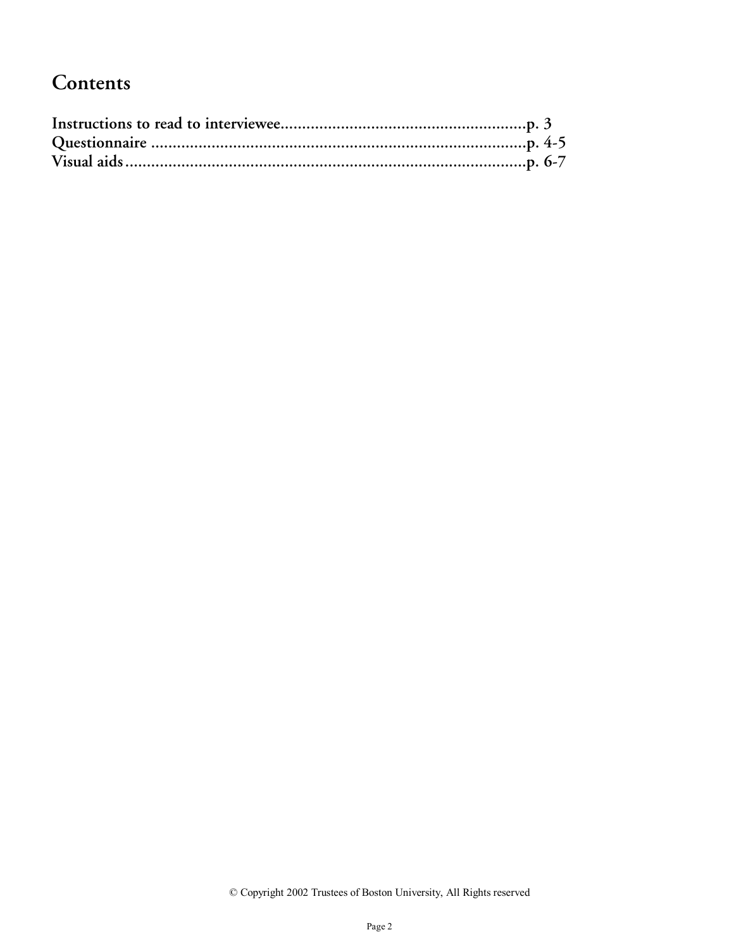### **Contents**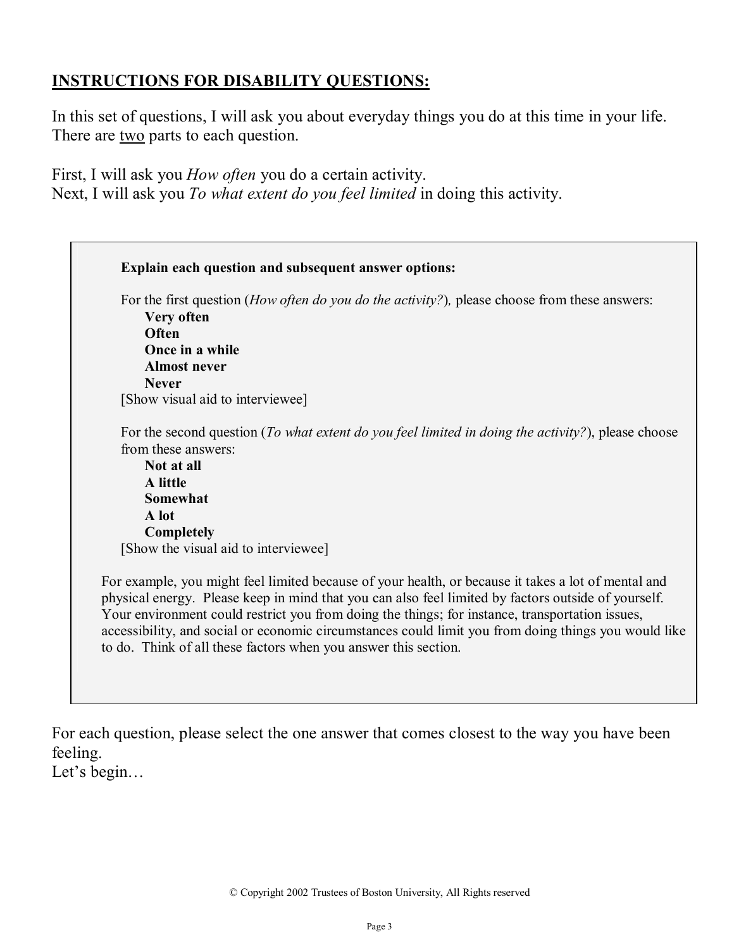### **INSTRUCTIONS FOR DISABILITY QUESTIONS:**

In this set of questions, I will ask you about everyday things you do at this time in your life. There are <u>two</u> parts to each question.

First, I will ask you *How often* you do a certain activity. Next, I will ask you *To what extent do you feel limited* in doing this activity.

| For the second question (To what extent do you feel limited in doing the activity?), please choose                                                                                                                                                                                                            |
|---------------------------------------------------------------------------------------------------------------------------------------------------------------------------------------------------------------------------------------------------------------------------------------------------------------|
|                                                                                                                                                                                                                                                                                                               |
|                                                                                                                                                                                                                                                                                                               |
|                                                                                                                                                                                                                                                                                                               |
|                                                                                                                                                                                                                                                                                                               |
|                                                                                                                                                                                                                                                                                                               |
|                                                                                                                                                                                                                                                                                                               |
|                                                                                                                                                                                                                                                                                                               |
|                                                                                                                                                                                                                                                                                                               |
|                                                                                                                                                                                                                                                                                                               |
|                                                                                                                                                                                                                                                                                                               |
|                                                                                                                                                                                                                                                                                                               |
|                                                                                                                                                                                                                                                                                                               |
|                                                                                                                                                                                                                                                                                                               |
|                                                                                                                                                                                                                                                                                                               |
| For example, you might feel limited because of your health, or because it takes a lot of mental and<br>physical energy. Please keep in mind that you can also feel limited by factors outside of yourself.<br>Your environment could restrict you from doing the things; for instance, transportation issues, |
| accessibility, and social or economic circumstances could limit you from doing things you would like<br>to do. Think of all these factors when you answer this section.                                                                                                                                       |

For each question, please select the one answer that comes closest to the way you have been feeling.

Let's begin…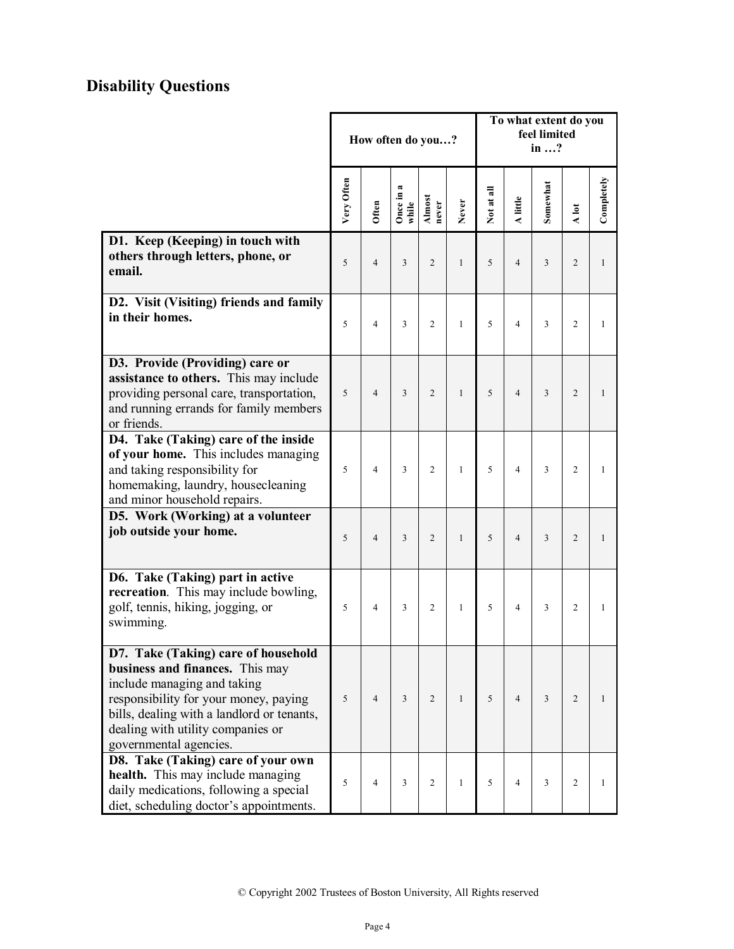### **Disability Questions**

|                                                                                                                                                                                                                                                             | How often do you? |                |                        |                 |              | To what extent do you<br>feel limited<br>in ? |                |          |                |              |
|-------------------------------------------------------------------------------------------------------------------------------------------------------------------------------------------------------------------------------------------------------------|-------------------|----------------|------------------------|-----------------|--------------|-----------------------------------------------|----------------|----------|----------------|--------------|
|                                                                                                                                                                                                                                                             | Very Often        | Often          | œ<br>Once in:<br>while | Almost<br>never | Never        | Not at all                                    | A little       | Somewhat | A lot          | Completely   |
| D1. Keep (Keeping) in touch with<br>others through letters, phone, or<br>email.                                                                                                                                                                             | 5                 | $\overline{4}$ | 3                      | $\overline{2}$  | $\mathbf{1}$ | 5                                             | $\overline{4}$ | 3        | $\overline{2}$ | $\mathbf{1}$ |
| D2. Visit (Visiting) friends and family<br>in their homes.                                                                                                                                                                                                  | 5                 | $\overline{4}$ | 3                      | $\overline{c}$  | $\mathbf{1}$ | 5                                             | $\overline{4}$ | 3        | $\overline{c}$ | 1            |
| D3. Provide (Providing) care or<br>assistance to others. This may include<br>providing personal care, transportation,<br>and running errands for family members<br>or friends.                                                                              | 5                 | $\overline{4}$ | 3                      | $\overline{2}$  | $\mathbf{1}$ | 5                                             | $\overline{4}$ | 3        | $\overline{2}$ | 1            |
| D4. Take (Taking) care of the inside<br>of your home. This includes managing<br>and taking responsibility for<br>homemaking, laundry, housecleaning<br>and minor household repairs.                                                                         | 5                 | $\overline{4}$ | 3                      | $\overline{2}$  | $\mathbf{1}$ | 5                                             | $\overline{4}$ | 3        | $\overline{2}$ | 1            |
| D5. Work (Working) at a volunteer<br>job outside your home.                                                                                                                                                                                                 | 5                 | $\overline{4}$ | 3                      | $\overline{2}$  | $\mathbf{1}$ | 5                                             | $\overline{4}$ | 3        | $\overline{2}$ | 1            |
| D6. Take (Taking) part in active<br>recreation. This may include bowling,<br>golf, tennis, hiking, jogging, or<br>swimming.                                                                                                                                 | 5                 | $\overline{4}$ | 3                      | $\overline{2}$  | $\mathbf{1}$ | 5                                             | $\overline{4}$ | 3        | $\overline{2}$ | $\mathbf{1}$ |
| D7. Take (Taking) care of household<br>business and finances. This may<br>include managing and taking<br>responsibility for your money, paying<br>bills, dealing with a landlord or tenants,<br>dealing with utility companies or<br>governmental agencies. | 5                 | $\overline{4}$ | $\mathfrak{Z}$         | 2               | $\mathbf{1}$ | 5                                             | $\overline{4}$ | 3        | $\overline{c}$ | 1            |
| D8. Take (Taking) care of your own<br>health. This may include managing<br>daily medications, following a special<br>diet, scheduling doctor's appointments.                                                                                                | 5                 | $\overline{4}$ | 3                      | $\overline{c}$  | 1            | 5                                             | $\overline{4}$ | 3        | 2              | 1            |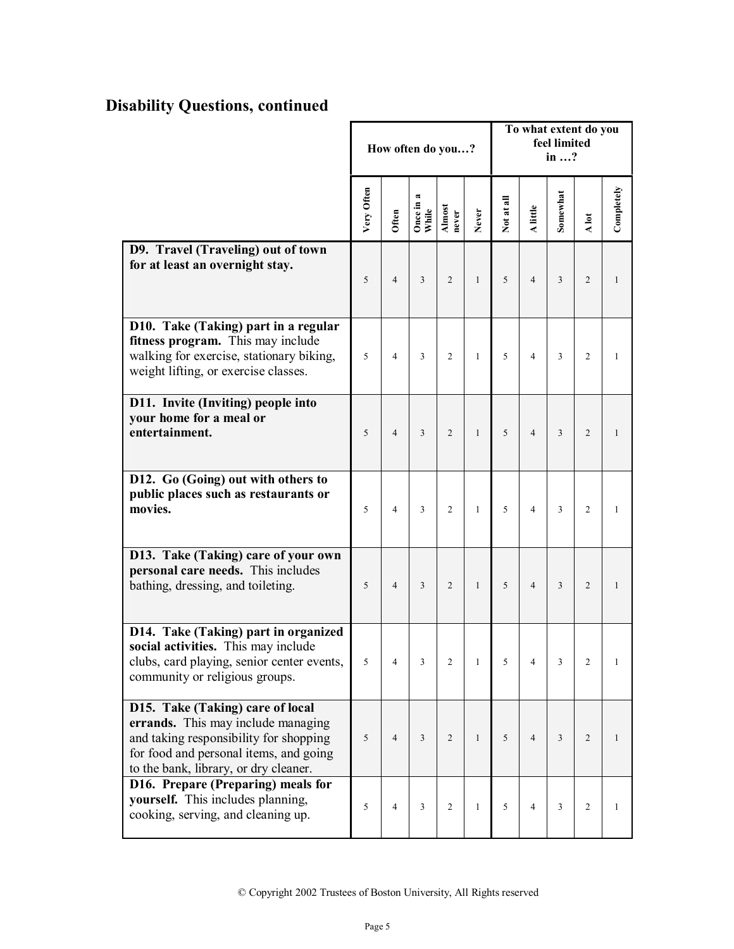### **Disability Questions, continued**

|                                                                                                                                                                                                     | How often do you? |                |                       |                 |              | To what extent do you<br>feel limited<br>in ? |                |                |                |              |
|-----------------------------------------------------------------------------------------------------------------------------------------------------------------------------------------------------|-------------------|----------------|-----------------------|-----------------|--------------|-----------------------------------------------|----------------|----------------|----------------|--------------|
|                                                                                                                                                                                                     | Very Often        | Often          | æ<br>Once in<br>While | Almost<br>never | Never        | Not at all                                    | A little       | Somewhat       | A lot          | Completely   |
| D9. Travel (Traveling) out of town<br>for at least an overnight stay.                                                                                                                               | 5                 | $\overline{4}$ | $\overline{3}$        | $\overline{2}$  | $\mathbf{1}$ | 5                                             | $\overline{4}$ | $\overline{3}$ | $\overline{2}$ | $\mathbf{1}$ |
| D10. Take (Taking) part in a regular<br>fitness program. This may include<br>walking for exercise, stationary biking,<br>weight lifting, or exercise classes.                                       | 5                 | $\overline{4}$ | 3                     | $\overline{2}$  | $\mathbf{1}$ | 5                                             | $\overline{4}$ | 3              | $\overline{2}$ | $\mathbf{1}$ |
| D11. Invite (Inviting) people into<br>your home for a meal or<br>entertainment.                                                                                                                     | 5                 | $\overline{4}$ | $\overline{3}$        | $\overline{2}$  | $\mathbf{1}$ | 5                                             | $\overline{4}$ | 3              | $\overline{2}$ | $\mathbf{1}$ |
| D12. Go (Going) out with others to<br>public places such as restaurants or<br>movies.                                                                                                               | 5                 | $\overline{4}$ | 3                     | $\overline{2}$  | $\mathbf{1}$ | 5                                             | $\overline{4}$ | 3              | $\overline{2}$ | $\mathbf{1}$ |
| D13. Take (Taking) care of your own<br>personal care needs. This includes<br>bathing, dressing, and toileting.                                                                                      | 5                 | $\overline{4}$ | $\overline{3}$        | $\overline{2}$  | $\mathbf{1}$ | 5                                             | $\overline{4}$ | 3              | $\overline{2}$ | $\mathbf{1}$ |
| D14. Take (Taking) part in organized<br>social activities. This may include<br>clubs, card playing, senior center events,<br>community or religious groups.                                         | 5                 | $\overline{4}$ | 3                     | $\overline{c}$  | $\mathbf{1}$ | 5                                             | $\overline{4}$ | 3              | $\overline{c}$ | 1            |
| D15. Take (Taking) care of local<br>errands. This may include managing<br>and taking responsibility for shopping<br>for food and personal items, and going<br>to the bank, library, or dry cleaner. | 5                 | $\overline{4}$ | $\overline{3}$        | $\overline{c}$  | $\mathbf{1}$ | 5                                             | $\overline{4}$ | 3              | $\mathfrak{2}$ | 1            |
| D16. Prepare (Preparing) meals for<br>yourself. This includes planning,<br>cooking, serving, and cleaning up.                                                                                       | 5                 | $\overline{4}$ | $\overline{3}$        | 2               | $\mathbf{1}$ | 5                                             | $\overline{4}$ | 3              | $\overline{2}$ | 1            |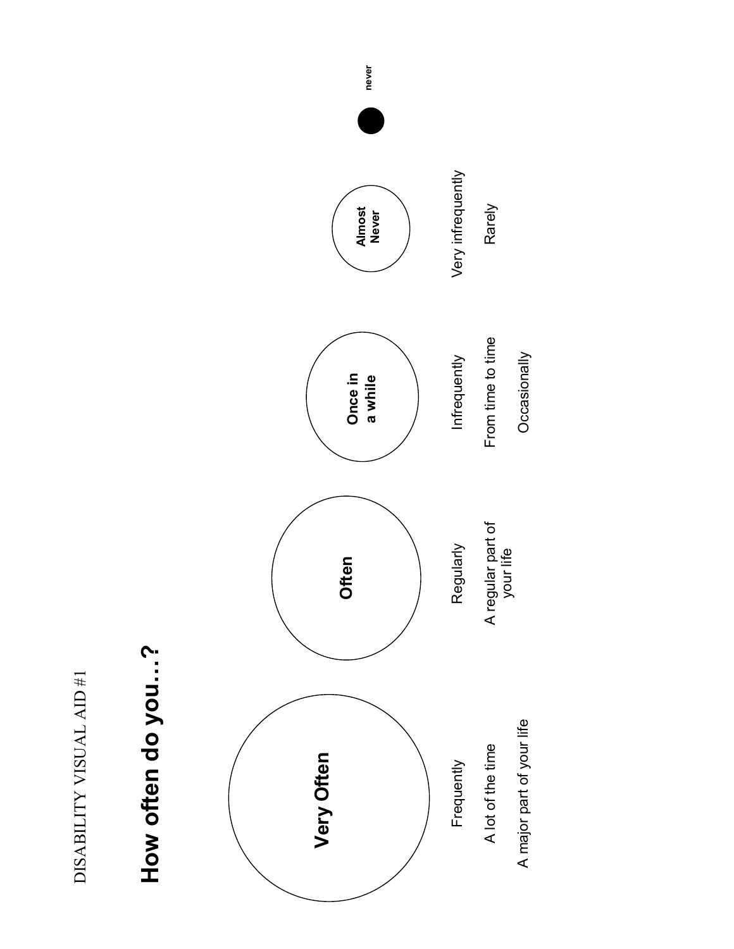DISABILITY VISUAL AID #1 DISABILITY VISUAL AID #1

## **How often do you…?**  How often do you...?